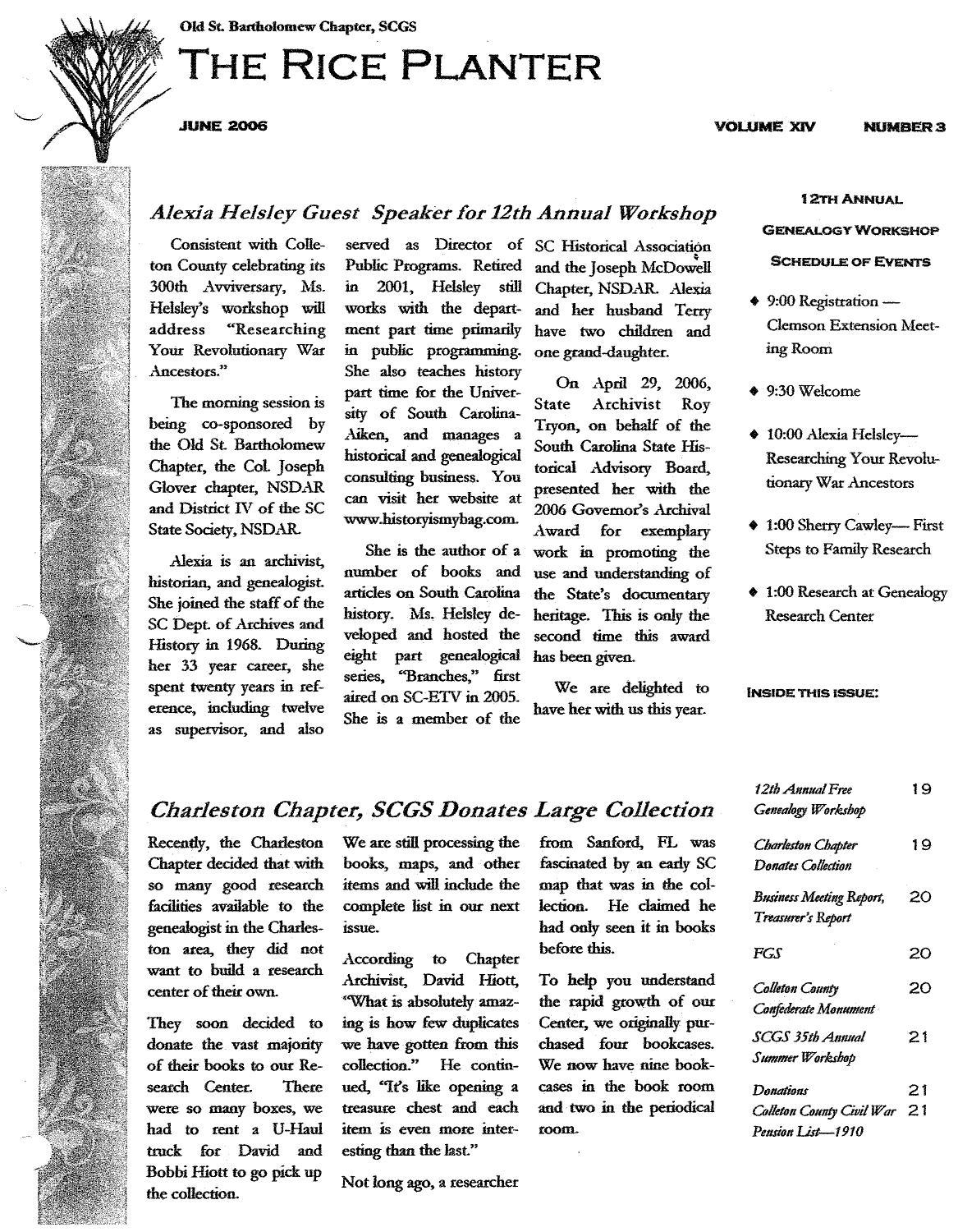# **THE RICE PLANTER**

.JUNE 2006

### *Alexia Helsley Guest Speaker for 12th Annual Workshop*

Consistent with Colleton County celebrating its 300th Avviversary, Ms. Helsley's workshop will<br>address "Researching "Researching Your Revolutionary War Ancestors."

The morning session is being co-sponsored by the Old St. Bartholomew Chapter, the Cot Joseph Glover chapter, NSDAR and District IV of the SC State Society, NSDAR.

Alexia is an archivist, historian, and genealogist. She joined the staff of the SC Dept. of Archives and History in 1968. During her 33 year career, she spent twenty years in reference, including twelve as supervisor, and also

Public Programs. Retired in 2001. Helsley still works with the department part time primarily in public programming. She also teaches history part time for the University of South Carolina- Aiken, and manages a historical and genealogical consulting business. You can visit her website at www.historyismybag.com.

She is the author of a number of books and articles on South Carolina history. Ms. Helsley developed and hosted the eight part genealogical series, "Branches," first aired on SC-ETV in 2005. She is a member of the

served as Director of SC Historical Association and the Joseph McDowell Chapter, NSDAR. Alexia and her husband Terry have two children and one grand-daughter.

> On April 29, 2006,<br>State Archivist Rov Archivist Roy Tryon, on behalf of the South Carolina State Historical Advisory Board, presented her with the 2006 Govemor's Archival Award for exemplary work in promoting the use and understanding of the State's documentary heritage. This is only the second time this award has been given.

> We are delighted to have her with us this year.

### 12TH ANNUAL

NUMBER 3

#### **GENEALOGY WORKSHOP**

#### SCHEDULE OF EvENTs

- 9:00 Registration -Clemson Extension Meeting Room
- 9:30Welcome
- 10:00 Alexia Helsley-Researching Your Revolutionary War Ancestors
- 1:00 Sherry Cawley-First Steps to Family Research
- 1:00 Research at Genealogy Research Center

#### iNSIDE THIS ISSUE:

| 12th Annual Free<br>Genealogy Workshop          | 19 |
|-------------------------------------------------|----|
| Charleston Chapter<br><b>Donates Collection</b> | 19 |
| <b>Business Meeting Report,</b>                 | 20 |
| Treasurer's Report                              |    |
| FGS                                             | 20 |
| Colleton County                                 | 20 |
| Confederate Monument                            |    |
| SCGS 35th Annual                                | 21 |
| Summer Workshop                                 |    |
| Donations                                       | 21 |
| Colleton County Civil War                       | 21 |
| Pension List-1910                               |    |

## $\emph{Charleston Chapter, SCGS Donates Large Collection}$  Generalogy Worksb

Recently, the Charleston We are still processing the from Sanford, FL was Chapter decided that with books, maps, and other fascinated by an early SC so many good research items and will include the map that was in the colfacilities available to the complete list in our next lection. He claimed he genealogist in the Charles- issue. had only seen it in books genealogist in the Charles- issue. had only seen it in bad only seen it is in books to had only seen it is in books to had only seen it is in the books of the seen in the books of the seen in the seen in the seen in the se ton area, they did not<br>want to build a research want to build a research Archivist, David Hiott, center of their own.

They soon decided to donate the. vast majority of their books to our Research Center. There were so many boxes, we had to rent a U-Haul truck for David and Bobbi Hiott to go pick up the coJlection.

"What is absolutelyamazing is how few duplicates we have gotten from this collection." He continued, «It's like opening a treasure chest and each item is even more interesting than the last."

Not long ago, a researcher

room. To help you understand the rapid growth of our Center, we originally purchased four bookcases. We now have nine bookcases in the book room and· two in the periodical



### **VOLUME XIV**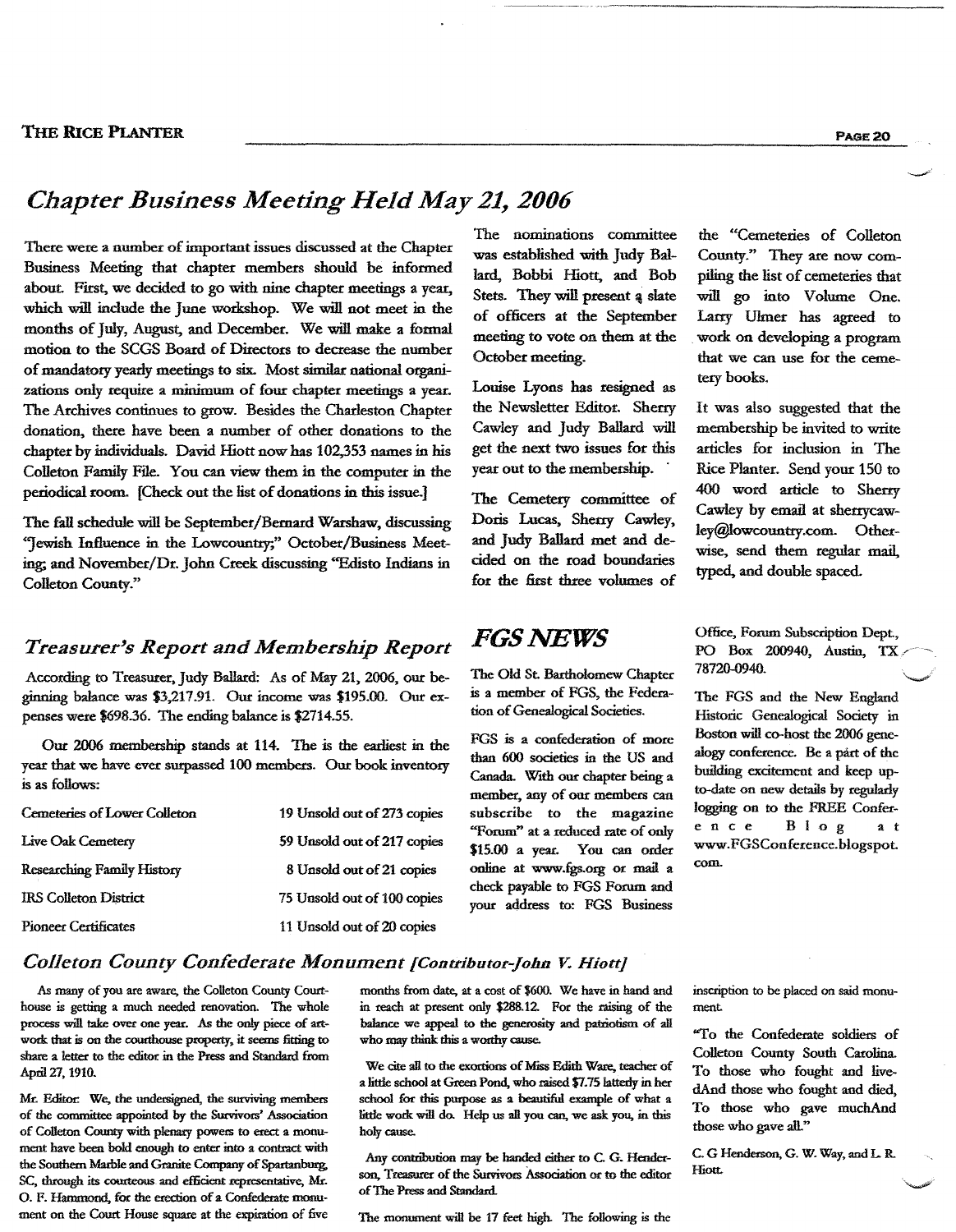### *Chapter Business Meeting Held May* 21, *2006*

There were a number of important issues discussed at the Chapter Business Meeting that chapter members should be informed about. First, we decided to go with nine chapter meetings a year, which will include the June workshop. We will not meet in the months of July, August, and December. We will make a formal motion to the SCGS Board of Directors to decrease the number of mandatory yearly meetings to six. Most similar national organizations oo1y require a minimum of four chapter meetings a year. The Archives continues to grow. Besides the Charleston Chapter donation, there have been a number of other donations to the chapter by individuals. David Hiott now has 102,353 names in his Colleton Family File. You can view them in the computer in the periodical room. [Check out the list of donations in this issue.]

The fall schedule will be September/Bemard Warshaw, discussing "Jewish Influence in the Lowcountry;" October/Business Meeting; and November/Dr. John Creek discussing «Edisto Indians in Colleton County."

### *Treasurer's Report and Membership Report*

According to Treasurer, Judy Ballard: As of May 21, 2006, our beginning balance was \$3,217.91. Our income was \$195.00. Our expenses were \$698.36. The ending balance is \$2714.55.

Our 2006 membership stands at 114. The is the earliest in the year that we have ever surpassed 100 members. Our book inventory is as follows:

| Cemeteries of Lower Colleton      | 19 Unsold out of 273 copies |
|-----------------------------------|-----------------------------|
| Live Oak Cemetery                 | 59 Unsold out of 217 copies |
| <b>Researching Family History</b> | 8 Unsold out of 21 copies   |
| <b>IRS Colleton District</b>      | 75 Unsold out of 100 copies |
| <b>Pioneer Certificates</b>       | 11 Unsold out of 20 copies  |

The nominations committee was established with Judy Ballard, Bobbi Hiott, and Bob Stets. They will present a slate of officers at the September meeting to vote on them at the October meeting.

Louise Lyons has resigned as the Newsletter Editor. Sherry Cawley and Judy Ballard will get the next two issues for this year out to the membership. .

The Cemetery committee of Doris Lucas, Sherry Cawley, and Judy Ballard met and decided on the road boundaries for the first three volumes of

### *FGSNEWS*

The Old St. Bartholomew Chapter is a member of FGS, the Fedexation of Genealogical Societies.

FGS is a confederation of more than 600 societies in the US and Canada. With our chapter being a member, any of our members can subscribe to the magazine "Forum" at a reduced rate of only \$15.00 a year. You can order online at www.fgs.org or mail a check payable to FGS Forum and your address to: FGS Business

the "Cemeteries of Colleton County." They are now compiling the list of cemeteries that will go into Volume One. Larry Ulmer has agreed to work on developing a program that we can use for the cemeterybooks.

It was also suggested that the membership be invited to write articles for inclusion in The Rice Planter. Send your 150 to 400 word article to Sherry Cawley by email at sherrycawley@lowcountry.com. Otherwise, send them regular mail, typed. and double spaced.

Office, Forum Subscription Dept., PO Box 200940, Austin, TX 78720-0940.

The FGS and the New England Historic Genealogical Society in Boston will co-host the 2006 genealogy conference. Be a part of the building excitement and keep upto-date on new details by regularly logging on to the FREE Conference Blog at www.FGSConference.blogspot. com.

### *Co/leton County Confederate Monument fContributor-John V. Hiott)*

As many of you are aware, the Colleton County Courthouse is getting a much needed renovation. The whole process will take over one year. As the only piece of attwork that is on the courthouse property, it seems fitting to share a letter to the editor in the Press and Standard from April27, 1910.

Mr. Editor: We, the undersigned, the surviving members of the committee appointed by the Survivors' Association of Colleton County with plenary powers to erect a monument have been bold enough to enter into a contract with the Southern Marble and Granite Company of Spartanburg. SC, through its courteous and efficient representative, Mr. O. F. Hammond, for the erection of a Confederate monument on the Court House square at the expiration of five months from date, at a cost of \$600. We have in hand and in reach at present only \$288.12. For the raising of the balance we appeal to the generosity and patriotism of all who may think this a worthy cause.

We cite all to the exortions of Miss Edith Ware, teacher of a little school at Green Pond, who raised \$7.75 latterly in her school for this purpose as a beautiful example of what a little work will do. Help us all you can, we ask you, in this holy cause.

Any contribution may be handed either to C. G. Henderson, Treasurer of the Survivors Association or to the editor of The Press and Standard.

The monument will be 17 feet high. The following is the

inscription to be placed on said monument

"To the Confederate soldiers of Colleton County South Carolina. To those who fought and livedAnd those who fought and died, To those who gave muchAnd those who gave all."

C. G Henderson, G. W. Way, and L. R. Hiott.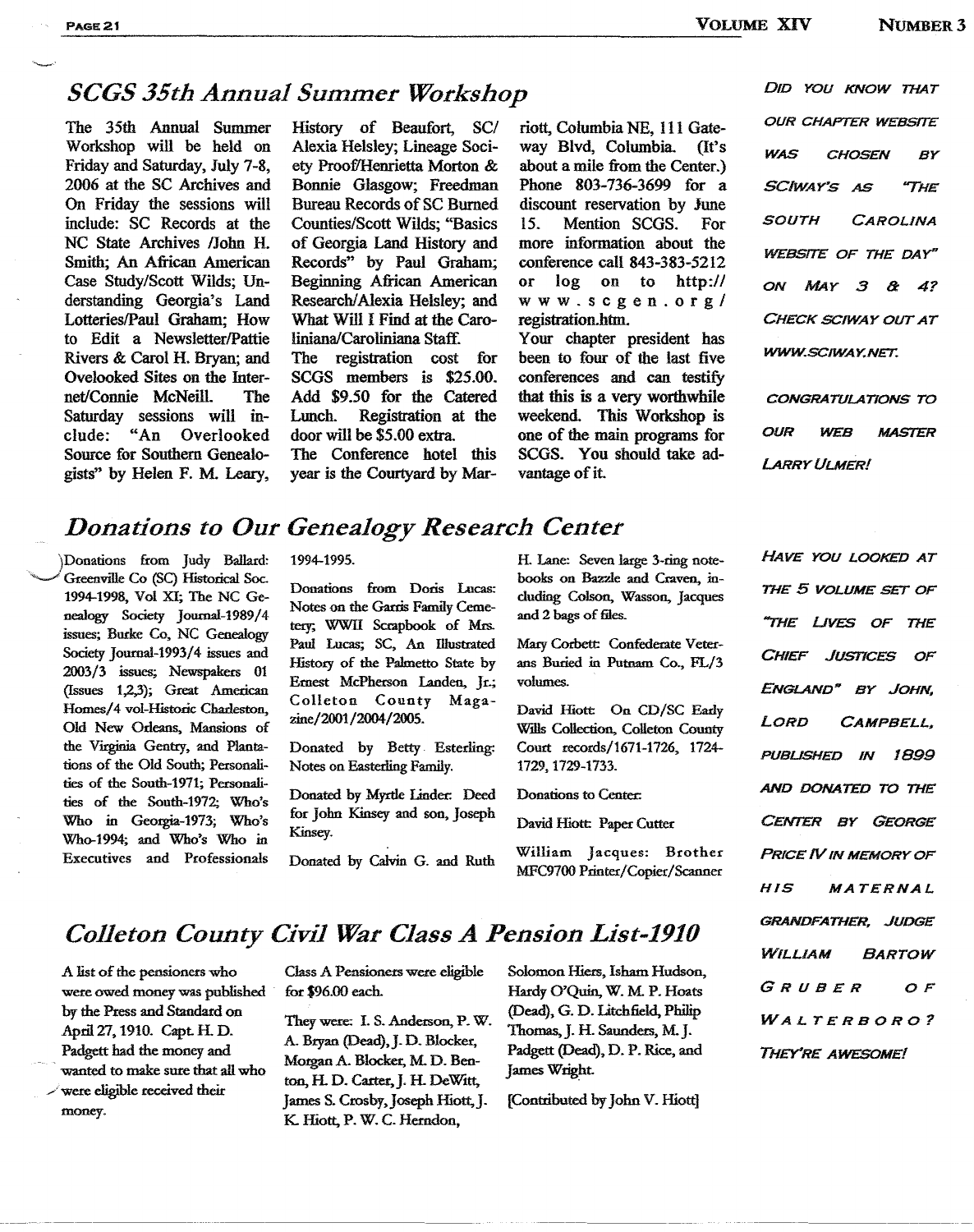## **SCGS 35th Annual Summer Workshop** DID YOU KNOW THAT

The 35th Annual Summer Workshop will be held on Friday and Saturday, July 7-8, 2006 at the SC Archives and On Friday the sessions will include: SC Records at the NC State Archives IJohn H. Smith; An African American Case Study/Scott Wilds; Understanding Georgia's Land Lotteries/Paul Graham: How to Edit a Newsletter/Pattie Rivers & Carol H. Bryan; and Ovelooked Sites on the Internet/Connie McNeill. The Saturday sessions will in-<br>clude: "An Overlooked Overlooked Source for Southern Genealogists" by Helen F. M. Leary,

History of Beaufort, *SCI* Alexia Helsley; Lineage Society Proof/Henrietta Morton & Bonnie Glasgow; Freedman Bureau Records of SC Burned Counties/Scott Wilds; "Basics of Georgia Land History and Records" by Paul Graham; Beginning African American Research/Alexia Helsley; and What Will I Find at the Caroliniana/Caroliniana Staff. The registration cost for SCGS members is \$25.00. Add \$9.50 for the Catered Lunch. Registration at the door will be \$5.00 extra. The Conference hotel this year is the Courtyard by Mar-

riott, Columbia NE, 111 Gateway Blvd, Columbia. about a mile from the Center.) Phone 803-736-3699 for a discount reservation by June<br>15 Mention SCGS For Mention SCGS. more information about the conference call 843-383-5212 or log on to http:// www.scgen.org/ registration.htm. Your chapter president has

been to four of the last five conferences and can testify that this is a very worthwhile weekend. This Workshop is one of the main programs for SCGS. You should take advantage of it.

WAS CHOSEN BY **OUR CHAPTER WEBSITE** SOUTH CAROLINA WWW;SClWAY.NET. CHECK SCIWAY OUT AT ON MAY 3 & 47 WEBSITE OF THE DAY" SCIWAY'S AS "THE

OUR WEB MASTER **CONGRATULATIONS TO** LARRY ULMER!

### *Donations to Our Genealogy Research Center*

)Donations from Judy Ballard: 1994-1995. Greenville Co (SC) Historical Soc. 1994-1998, Vol XI; The NC Genealogy Society Journal-1989/4 issues; Burke Co, NC Genealogy Society Joumal-1993/4 issues and 2003/3 issues; Newspakers 01 (Issues 1,2,3); Great American Homes/4 vol-Historic Charleston, Old New Orleans, Mansions of the Virginia Gentry, and Plantations of the Old South; Personalities of the South-1971; Personalities of the South-1972; Who's Who in Georgia-1973; Who's Who-1994; and Who's Who in Executives and Professionals

Donations from Doris Lucas: Notes on the Garris Family Cemetery; WWll Scrapbook of Mrs. Paul Lucas; SC, An Illustrated History of the Palmetto State by Ernest McPherson Landen, Jr.; Colleton County Magazine/2001/2004/2005.

Donated by Betty Esterling: Notes on Easterling Family.

Donated by Myrtle Linder. Deed for John Kinsey and son, Joseph Kinsey.

Donated by Calvin G. and Ruth

H. Lane: Seven large 3-ring notebooks on Bazzle and Craven, including Colson, Wasson, Jacques and 2 bags of files.

Mary Corbett: Confederate Veterans Buried in Putnam Co., FL/3 volumes.

David Hiott On CD/SC Early Wills Collection, Colleton County Court records/1671-1726, 1724- 1729, 1729-1733.

Donations to Center.

David Hiott Paper Cutter

William Jacques: Brother MFC9700 Printer/Copier/Scanner

# **Colleton County Civil War Class A Pension List-1910** WILLIAM BARTOW

A list of the pensioners who were owed money was published by the Press and Standard on April 27, 1910. Capt. H. D. Padgett bad the money and wanted to make sure that all who were eligible received their money.

Class A Pensioners were eligible for \$96.00 each.

They were: I. S. Anderson, P. W. A. Bryan (Dead), J. D. Blocker, Morgan A. Blocker, M. D. Benton, H. D. Carter, J. H. DeWitt, James S. Crosby, Joseph Hiott, J. K Hiott, P. W. C. Herndon,

Solomon Hiers, Isham Hudson, Hardy O'Ouin, W. M. P. Hoats (Dead), G. D. Litchfield, Philip Thomas, J. H. Saunders, M. J. Padgett (Dead), D. P. Rice, and James Wright.

[Contributed by John V. Hiott]

AND DONATED TO THE "'THE LiVES OF THE CHIEF JUSTICES OF HAVE YOU LOOKED AT CAMPBELL. THE 5 VOLUME SET OF LORD CENTER BY GEORGE ENGLAND" BY JOHN. PUBUSHED IN 1899 PRICE IV IN MEMORY OF HIS MA TERNAL GRANDFATHER. JUDGE GRUBER OF WALTERBORO? THEY'RE AWESOME!